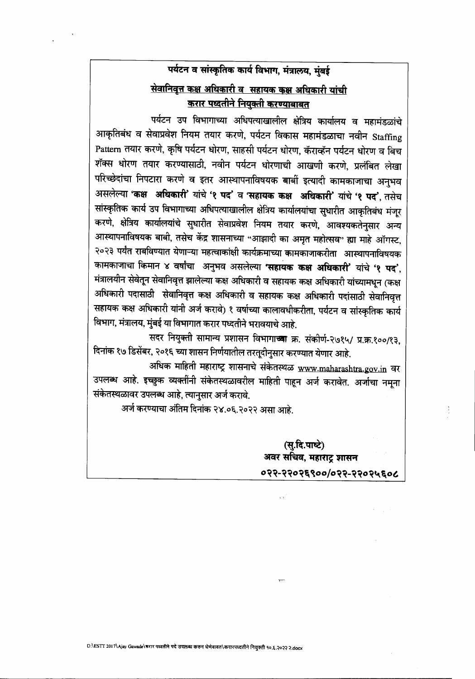## पर्यटन व सांस्कृतिक कार्य विभाग, मंत्रालय, मुंबई सेवानिवृत्त कक्ष अधिकारी व सहायक कक्ष अधिकारी यांची <u>करार पृथ्दतीने नियुक्ती करण्याबाबत</u>

पर्यटन उप विभागाच्या अधिपत्याखालील क्षेत्रिय कार्यालय व महामंडळांचे आकृतिबंध व सेवाप्रवेश नियम तयार करणे, पर्यटन विकास महामंडळाचा नवीन Staffing Pattern तयार करणे, कृषि पर्यटन धोरण, साहसी पर्यटन धोरण, कॅराव्हॅन पर्यटन धोरण व बिच शॅक्स धोरण तयार करण्यासाठी, नवीन पर्यटन धोरणाची आखणी करणे, प्रलंबित लेखा परिच्छेदांचा निपटारा करणे व इतर आस्थापनाविषयक बाबीं इत्यादी कामकाजाचा अनुभव असलेल्या 'कक्ष अधिकारी' यांचे '१ पद' व 'सहायक कक्ष अधिकारी' यांचे '१ पद', तसेच सांस्कृतिक कार्य उप विभागाच्या अधिपत्याखालील क्षेत्रिय कार्यालयांचा सुधारीत आकृतिबंध मंजूर करणे, क्षेत्रिय कार्यालयांचे सुधारीत सेवाप्रवेश नियम तयार करणे, आवश्यकतेनुसार अन्य आस्थापनाविषयक बाबी, तसेच केंद्र शासनाच्या "आझादी का अमृत महोत्सव" ह्या माहे ऑगस्ट, २०२३ पर्यंत राबविण्यात येणाऱ्या महत्वाकांक्षी कार्यक्रमाच्या कामकाजाकरीता आस्थापनाविषयक कामकाजाचा किमान ४ वर्षांचा अनुभव असलेल्या 'सहायक कक्ष अधिकारी' यांचे '१ पद', मंत्रालयीन सेवेतून सेवानिवृत्त झालेल्या कक्ष अधिकारी व सहायक कक्ष अधिकारी यांच्यामधून (कक्ष अधिकारी पदासाठी सेवानिवृत्त कक्ष अधिकारी व सहायक कक्ष अधिकारी पदांसाठी सेवानिवृत्त सहायक कक्ष अधिकारी यांनी अर्ज करावे) १ वर्षाच्या कालावधीकरीता, पर्यटन व सांस्कृतिक कार्य विभाग, मंत्रालय, मुंबई या विभागात करार पध्दतीने भरावयाचे आहे.

सदर नियुक्ती सामान्य प्रशासन विभागाच्या क्र. संकीर्ण-२७१५/ प्र.क्र.१००/१३, दिनांक १७ डिसेंबर, २०१६ च्या शासन निर्णयातील तरतूदीनुसार करण्यात येणार आहे.

अधिक माहिती महाराष्ट्र शासनाचे संकेतस्थळ www.maharashtra.gov.in वर उपलब्ध आहे. इच्छुक व्यक्तींनी संकेतस्थळावरील माहिती पाहून अर्ज करावेत. अर्जाचा नमूना संकेतस्थळावर उपलब्ध आहे, त्यानुसार अर्ज करावे.

अर्ज करण्याचा अंतिम दिनांक २४.०६.२०२२ असा आहे.

(सु.दि.पाष्टे) अवर सचिव, महाराट्र शासन ०२२-२२०२६९००/०२२-२२०२५६०८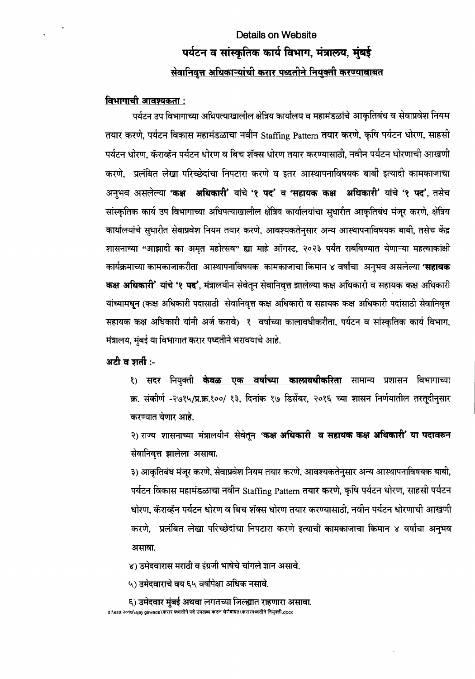# **Details on Website** पर्यटन व सांस्कृतिक कार्य विभाग, मंत्रालय, मुंबई **-Rc:u r"'lC{"d ~(f) H/I it.ft litim** *¥4ffl,",* **<sup>P</sup>'<JIctff1 (f)~0tUd4Id4('t**

#### **<u>विभागाची आवश्यकता :</u>**

पर्यटन उप विभागाच्या अधिपत्याखालील क्षेत्रिय कार्यालय व महामंडळांचे आकृतिबंध व सेवाप्रवेश नियम तयार करणे, पर्यटन विकास महामंडळाचा नवीन Staffing Pattern तयार करणे, कृषि पर्यटन धोरण, साहसी पर्यटन धोरण, कॅराव्हॅन पर्यटन धोरण व बिच शॅक्स धोरण तयार करण्यासाठी, नवीन पर्यटन धोरणाची आखणी करणे. प्रलंबित लेखा परिच्छेदांचा निपटारा करणे व इतर आस्थापनाविषयक बाबीं इत्यादी कामकाजाचा अनुभव असलेल्या **'कक्ष अधिकारी'** यांचे '**१ पद' व 'सहायक कक्ष अधिकारी' यांचे '१ पद'**, तसेच सांस्कृतिक कार्य उप विभागाच्या अधिपत्याखालील क्षेत्रिय कार्यालयांचा सुधारीत आकृतिबंध मंजूर करणे, क्षेत्रिय कार्यालयांचे सुधारीत सेवाप्रवेश नियम तयार करणे, आवश्यकतेनुसार अन्य आस्थापनाविषयक बाबी, तसेच केंद्र शासनाच्या "आझादी का अमृत महोत्सव" ह्या माहे ऑगस्ट, २०२३ पर्यंत राबविण्यात येणाऱ्या महत्वाकांक्षी कार्यक्रमाच्या कामकाजाकरीता आस्थापनाविषयक कामकाजाचा किमान ४ वर्षांचा अनुभव असलेल्या **'सहायक कक्ष अधिकारी' यांचे '१ पद', मंत्रालयीन सेवेतून सेवानिवृत्त झालेल्या कक्ष अधिकारी व सहायक कक्ष अधिकारी** यांच्यामधून (कक्ष अधिकारी पदासाठी सेवानिवृत्त कक्ष अधिकारी व सहायक कक्ष अधिकारी पदांसाठी सेवानिवृत्त सहायक कक्ष अधिकारी यांनी अर्ज करावे) १ वर्षाच्या कालावधीकरीता, पर्यटन व सांस्कृतिक कार्य विभाग, मंत्रालय, मुंबई या विभागात करार पध्दतीने भरावयाचे आहे.

अटी व शर्ती :-

<u>१) सदर नियुक्ती <mark>केवळ एक वर्षाच्या कालावधीकरिता</mark> सामान्य प्रशासन विभागाच्या</u> क्र. संकीर्ण -२७१५/प्र.क्र.१००/ १३, दिनांक १७ डिसेंबर, २०१६ च्या शासन निर्णयातील तरतूदीनुसार करण्यात येणार आहे.

२) राज्य शासनाच्या मंत्रालयीन सेवेतून 'कक्ष अधिकारी व सहायक कक्ष अधिकारी' या पदावरुन सेवानिवृत्त झालेला असावा.

३) आकृतिबंध मंजूर करणे, सेवाप्रवेश नियम तयार करणे, आवश्यकतेनुसार अन्य आस्थापनाविषयक बाबी, पर्यटन विकास महामंडळाचा नवीन Staffing Pattern तयार करणे, कृषि पर्यटन धोरण, साहसी पर्यटन धोरण, कॅराव्हॅन पर्यटन धोरण व बिच शॅक्स धोरण तयार करण्यासाठी, नवीन पर्यटन धोरणाची आखणी करणे, प्रलंबित लेखा परिच्छेदांचा निपटारा करणे इत्याची कामकाजाचा किमान ४ वर्षांचा अनुभव असावा.

४) उमेदवारास मराठी व इंग्रजी भाषेचे चांगले ज्ञान असावे.

५) उमेदवाराचे वय ६५ वर्षापेक्षा अधिक नसावे.

६) उमेदवार मुंबई अथवा लगतच्या जिल्ह्यात राहणारा असावा. d:\estt २०१७\ajay gawade\करार पध्दतीने पदे उपलब्ध करुन धेणेबाबत\करारपध्दर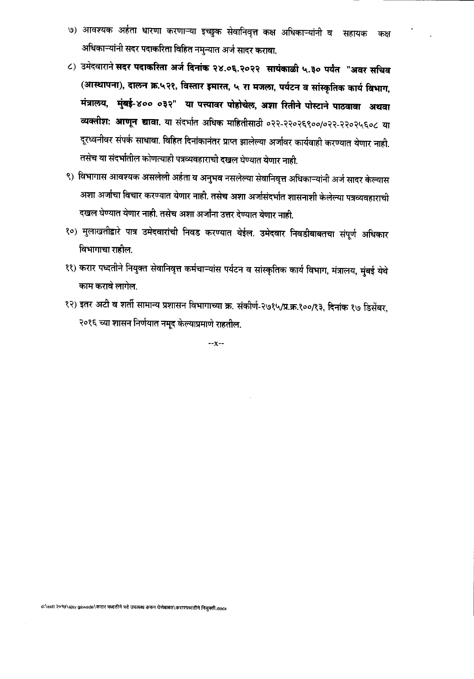- ७) आवश्यक अर्हता धारणा करणाऱ्या इच्छुक सेवानिवृत्त कक्ष अधिकाऱ्यांनी व सहायक कक्ष अधिकाऱ्यांनी सदर पदाकरिता विहित नमुन्यात अर्ज सादर करावा.
- ८) उमेदवाराने सदर पदाकरिता अर्ज दिनांक २४.०६.२०२२ सायंकाळी ५.३० पर्यंत "अवर सचिव (आस्थापना), दालन क्र.५२१, विस्तार इमारत, ५ रा मजला, पर्यटन व सांस्कृतिक कार्य विभाग, मंत्रालय, मुंबई-४०० ०३२" या पत्त्यावर पोहोचेल, अशा रितीने पोस्टाने पाठवावा अथवा व्यक्तीश: आणून द्यावा. या संदर्भात अधिक माहितीसाठी ०२२-२२०२६९००/०२२-२२०२५६०८ या दूरध्वनीवर संपर्क साधावा. विहित दिनांकानंतर प्राप्त झालेल्या अर्जावर कार्यवाही करण्यात येणार नाही. तसेच या संदर्भातील कोणत्याही पत्रव्यवहाराची दखल घेण्यात येणार नाही.
- ९) विभागास आवश्यक असलेली अर्हता व अनुभव नसलेल्या सेवानिवृत्त अधिकाऱ्यांनी अर्ज सादर केल्यास अशा अर्जाचा विचार करण्यात येणार नाही. तसेच अशा अर्जासंदर्भात शासनाशी केलेल्या पत्रव्यवहाराची दखल घेण्यात येणार नाही. तसेच अशा अर्जांना उत्तर देण्यात येणार नाही.
- १०) मुलाखतीद्वारे पात्र उमेदवारांची निवड करण्यात येईल. उमेदवार निवडीबाबतचा संपूर्ण अधिकार विभागाचा राहील.
- ११) करार पध्दतीने नियुक्त सेवानिवृत्त कर्मचाऱ्यांस पर्यटन व सांस्कृतिक कार्य विभाग, मंत्रालय, मुंबई येथे काम करावे लागेल.
- १२) इतर अटी व शर्ती सामान्य प्रशासन विभागाच्या क्र. संकीर्ण-२७१५/प्र.क्र.१००/१३, दिनांक १७ डिसेंबर, २०१६ च्या शासन निर्णयात नमूद केल्याप्रमाणे राहतील.

 $-x-x-$